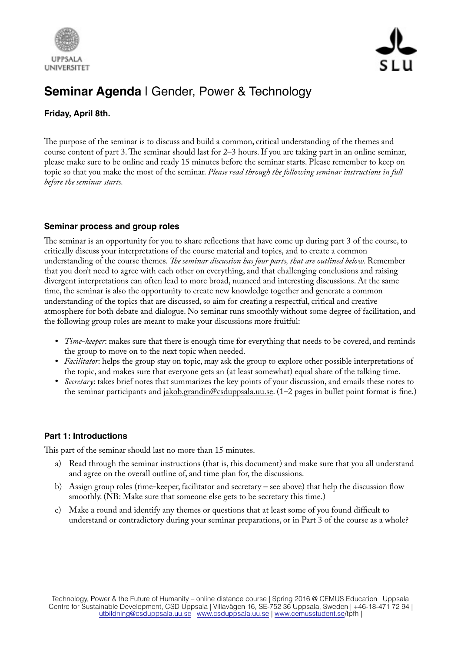



# **Seminar Agenda** | Gender, Power & Technology

### **Friday, April 8th.**

The purpose of the seminar is to discuss and build a common, critical understanding of the themes and course content of part 3. The seminar should last for 2–3 hours. If you are taking part in an online seminar, please make sure to be online and ready 15 minutes before the seminar starts. Please remember to keep on topic so that you make the most of the seminar. *Please read through the following seminar instructions in full before the seminar starts.*

## **Seminar process and group roles**

The seminar is an opportunity for you to share reflections that have come up during part 3 of the course, to critically discuss your interpretations of the course material and topics, and to create a common understanding of the course themes. *Te seminar discussion has four parts, that are outlined below.* Remember that you don't need to agree with each other on everything, and that challenging conclusions and raising divergent interpretations can often lead to more broad, nuanced and interesting discussions. At the same time, the seminar is also the opportunity to create new knowledge together and generate a common understanding of the topics that are discussed, so aim for creating a respectful, critical and creative atmosphere for both debate and dialogue. No seminar runs smoothly without some degree of facilitation, and the following group roles are meant to make your discussions more fruitful:

- *Time-keeper*: makes sure that there is enough time for everything that needs to be covered, and reminds the group to move on to the next topic when needed.
- *Facilitator*: helps the group stay on topic, may ask the group to explore other possible interpretations of the topic, and makes sure that everyone gets an (at least somewhat) equal share of the talking time.
- *Secretary*: takes brief notes that summarizes the key points of your discussion, and emails these notes to the seminar participants and [jakob.grandin@csduppsala.uu.se.](mailto:jakob.grandin@csduppsala.uu.se) (1-2 pages in bullet point format is fine.)

## **Part 1: Introductions**

This part of the seminar should last no more than 15 minutes.

- a) Read through the seminar instructions (that is, this document) and make sure that you all understand and agree on the overall outline of, and time plan for, the discussions.
- b) Assign group roles (time-keeper, facilitator and secretary see above) that help the discussion fow smoothly. (NB: Make sure that someone else gets to be secretary this time.)
- c) Make a round and identify any themes or questions that at least some of you found difficult to understand or contradictory during your seminar preparations, or in Part 3 of the course as a whole?